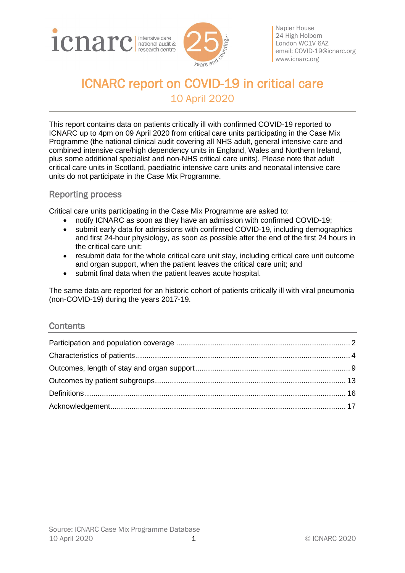



Napier House 24 High Holborn London WC1V 6AZ email: [COVID-19@icnarc.org](mailto:COVID-19@icnarc.org) [www.icnarc.org](http://www.icnarc.org/)

# ICNARC report on COVID-19 in critical care 10 April 2020

This report contains data on patients critically ill with confirmed COVID-19 reported to ICNARC up to 4pm on 09 April 2020 from critical care units participating in the Case Mix Programme (the national clinical audit covering all NHS adult, general intensive care and combined intensive care/high dependency units in England, Wales and Northern Ireland, plus some additional specialist and non-NHS critical care units). Please note that adult critical care units in Scotland, paediatric intensive care units and neonatal intensive care units do not participate in the Case Mix Programme.

## Reporting process

Critical care units participating in the Case Mix Programme are asked to:

- notify ICNARC as soon as they have an admission with confirmed COVID-19;
- submit early data for admissions with confirmed COVID-19, including demographics and first 24-hour physiology, as soon as possible after the end of the first 24 hours in the critical care unit;
- resubmit data for the whole critical care unit stay, including critical care unit outcome and organ support, when the patient leaves the critical care unit; and
- submit final data when the patient leaves acute hospital.

The same data are reported for an historic cohort of patients critically ill with viral pneumonia (non-COVID-19) during the years 2017-19.

#### **Contents**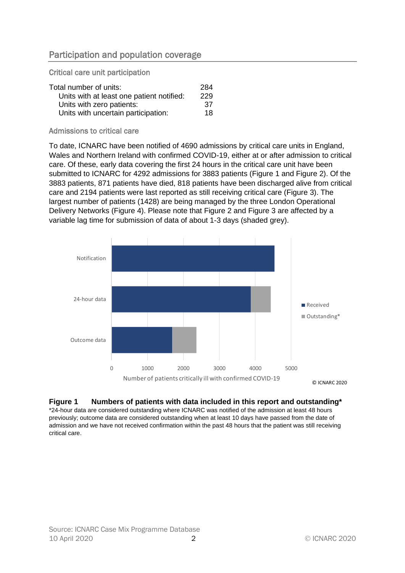<span id="page-1-0"></span>Critical care unit participation

| Total number of units:                    | 284 |
|-------------------------------------------|-----|
| Units with at least one patient notified: | 229 |
| Units with zero patients:                 | 37  |
| Units with uncertain participation:       | 18  |

#### Admissions to critical care

To date, ICNARC have been notified of 4690 admissions by critical care units in England, Wales and Northern Ireland with confirmed COVID-19, either at or after admission to critical care. Of these, early data covering the first 24 hours in the critical care unit have been submitted to ICNARC for 4292 admissions for 3883 patients [\(Figure 1](#page-1-1) and [Figure 2\)](#page-2-0). Of the 3883 patients, 871 patients have died, 818 patients have been discharged alive from critical care and 2194 patients were last reported as still receiving critical care [\(Figure 3\)](#page-2-1). The largest number of patients (1428) are being managed by the three London Operational Delivery Networks [\(Figure 4\)](#page-3-1). Please note that [Figure 2](#page-2-0) and [Figure 3](#page-2-1) are affected by a variable lag time for submission of data of about 1-3 days (shaded grey).



#### <span id="page-1-1"></span>**Figure 1 Numbers of patients with data included in this report and outstanding\***

\*24-hour data are considered outstanding where ICNARC was notified of the admission at least 48 hours previously; outcome data are considered outstanding when at least 10 days have passed from the date of admission and we have not received confirmation within the past 48 hours that the patient was still receiving critical care.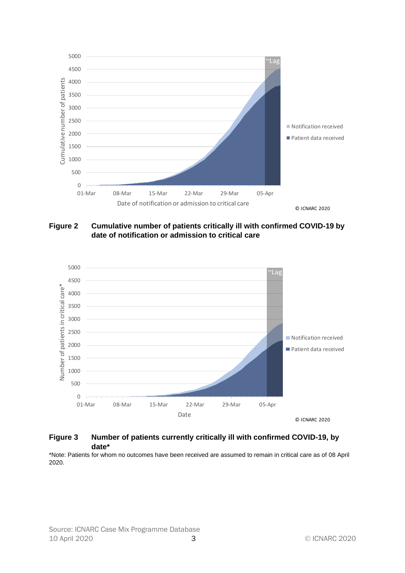

<span id="page-2-0"></span>**Figure 2 Cumulative number of patients critically ill with confirmed COVID-19 by date of notification or admission to critical care**



#### <span id="page-2-1"></span>**Figure 3 Number of patients currently critically ill with confirmed COVID-19, by date\***

\*Note: Patients for whom no outcomes have been received are assumed to remain in critical care as of 08 April 2020.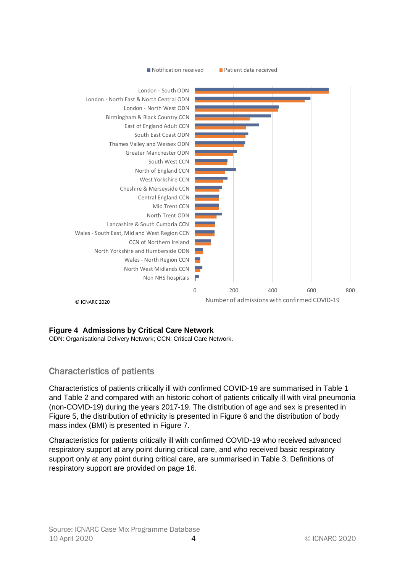

#### <span id="page-3-1"></span>**Figure 4 Admissions by Critical Care Network**

ODN: Organisational Delivery Network; CCN: Critical Care Network.

# <span id="page-3-0"></span>Characteristics of patients

Characteristics of patients critically ill with confirmed COVID-19 are summarised in [Table 1](#page-4-0) and [Table 2](#page-5-0) and compared with an historic cohort of patients critically ill with viral pneumonia (non-COVID-19) during the years 2017-19. The distribution of age and sex is presented in [Figure 5,](#page-5-1) the distribution of ethnicity is presented in [Figure 6](#page-6-0) and the distribution of body mass index (BMI) is presented in [Figure 7.](#page-6-1)

Characteristics for patients critically ill with confirmed COVID-19 who received advanced respiratory support at any point during critical care, and who received basic respiratory support only at any point during critical care, are summarised in [Table 3.](#page-7-0) [Definitions](#page-15-0) of respiratory support are provided on page [16.](#page-15-0)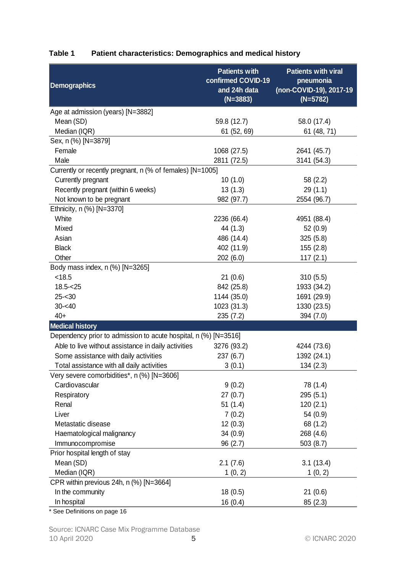| <b>Demographics</b>                                             | <b>Patients with</b><br>confirmed COVID-19<br>and 24h data<br>$(N=3883)$ | <b>Patients with viral</b><br>pneumonia<br>(non-COVID-19), 2017-19<br>$(N=5782)$ |
|-----------------------------------------------------------------|--------------------------------------------------------------------------|----------------------------------------------------------------------------------|
| Age at admission (years) [N=3882]                               |                                                                          |                                                                                  |
| Mean (SD)                                                       | 59.8 (12.7)                                                              | 58.0 (17.4)                                                                      |
| Median (IQR)                                                    | 61 (52, 69)                                                              | 61 (48, 71)                                                                      |
| Sex, n (%) [N=3879]                                             |                                                                          |                                                                                  |
| Female                                                          | 1068 (27.5)                                                              | 2641 (45.7)                                                                      |
| Male                                                            | 2811 (72.5)                                                              | 3141 (54.3)                                                                      |
| Currently or recently pregnant, n (% of females) [N=1005]       |                                                                          |                                                                                  |
| Currently pregnant                                              | 10(1.0)                                                                  | 58 (2.2)                                                                         |
| Recently pregnant (within 6 weeks)                              | 13(1.3)                                                                  | 29(1.1)                                                                          |
| Not known to be pregnant                                        | 982 (97.7)                                                               | 2554 (96.7)                                                                      |
| Ethnicity, n (%) [N=3370]                                       |                                                                          |                                                                                  |
| White                                                           | 2236 (66.4)                                                              | 4951 (88.4)                                                                      |
| Mixed                                                           | 44 (1.3)                                                                 | 52 (0.9)                                                                         |
| Asian                                                           | 486 (14.4)                                                               | 325(5.8)                                                                         |
| <b>Black</b>                                                    | 402 (11.9)                                                               | 155 (2.8)                                                                        |
| Other                                                           | 202 (6.0)                                                                | 117(2.1)                                                                         |
| Body mass index, n (%) [N=3265]                                 |                                                                          |                                                                                  |
| < 18.5                                                          | 21(0.6)                                                                  | 310(5.5)                                                                         |
| $18.5 - 25$                                                     | 842 (25.8)                                                               | 1933 (34.2)                                                                      |
| $25 - 30$                                                       | 1144 (35.0)                                                              | 1691 (29.9)                                                                      |
| $30 - 40$                                                       | 1023 (31.3)                                                              | 1330 (23.5)                                                                      |
| $40+$                                                           | 235(7.2)                                                                 | 394 (7.0)                                                                        |
| <b>Medical history</b>                                          |                                                                          |                                                                                  |
| Dependency prior to admission to acute hospital, n (%) [N=3516] |                                                                          |                                                                                  |
| Able to live without assistance in daily activities             | 3276 (93.2)                                                              | 4244 (73.6)                                                                      |
| Some assistance with daily activities                           | 237(6.7)                                                                 | 1392 (24.1)                                                                      |
| Total assistance with all daily activities                      | 3(0.1)                                                                   | 134(2.3)                                                                         |
| Very severe comorbidities*, n (%) [N=3606]                      |                                                                          |                                                                                  |
| Cardiovascular                                                  | 9(0.2)                                                                   | 78 (1.4)                                                                         |
| Respiratory                                                     | 27(0.7)                                                                  | 295(5.1)                                                                         |
| Renal                                                           | 51(1.4)                                                                  | 120(2.1)                                                                         |
| Liver                                                           | 7(0.2)                                                                   | 54 (0.9)                                                                         |
| Metastatic disease                                              | 12(0.3)                                                                  | 68 (1.2)                                                                         |
| Haematological malignancy                                       | 34(0.9)                                                                  | 268 (4.6)                                                                        |
| Immunocompromise                                                | 96(2.7)                                                                  | 503 (8.7)                                                                        |
| Prior hospital length of stay                                   |                                                                          |                                                                                  |
| Mean (SD)                                                       | 2.1(7.6)                                                                 | 3.1(13.4)                                                                        |
| Median (IQR)                                                    | 1(0, 2)                                                                  | 1(0, 2)                                                                          |
| CPR within previous 24h, n (%) [N=3664]                         |                                                                          |                                                                                  |
| In the community                                                | 18(0.5)                                                                  | 21(0.6)                                                                          |
| In hospital                                                     | 16(0.4)                                                                  | 85(2.3)                                                                          |

# <span id="page-4-0"></span>**Table 1 Patient characteristics: Demographics and medical history**

\* See Definitions on page [16](#page-14-0)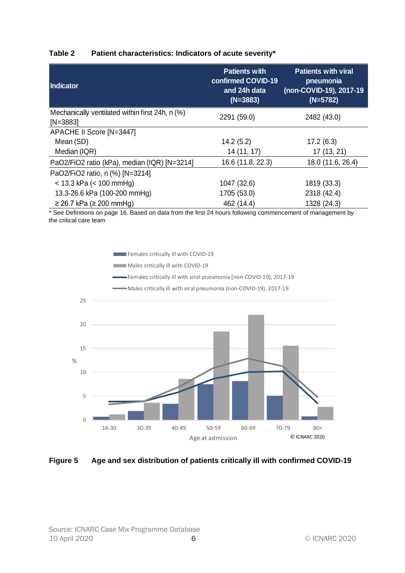#### <span id="page-5-0"></span>**Table 2 Patient characteristics: Indicators of acute severity\***

| Indicator                                                     | <b>Patients with</b><br>confirmed COVID-19<br>and 24h data<br>$(N=3883)$ | <b>Patients with viral</b><br>pneumonia<br>(non-COVID-19), 2017-19<br>$(N=5782)$ |
|---------------------------------------------------------------|--------------------------------------------------------------------------|----------------------------------------------------------------------------------|
| Mechanically ventilated within first 24h, n (%)<br>$[N=3883]$ | 2291 (59.0)                                                              | 2482 (43.0)                                                                      |
| APACHE II Score [N=3447]                                      |                                                                          |                                                                                  |
| Mean (SD)                                                     | 14.2(5.2)                                                                | 17.2(6.3)                                                                        |
| Median (IQR)                                                  | 14 (11, 17)                                                              | 17 (13, 21)                                                                      |
| PaO2/FiO2 ratio (kPa), median (IQR) [N=3214]                  | 16.6 (11.8, 22.3)                                                        | 18.0 (11.6, 26.4)                                                                |
| PaO2/FiO2 ratio, n (%) [N=3214]                               |                                                                          |                                                                                  |
| $<$ 13.3 kPa ( $<$ 100 mmHg)                                  | 1047 (32.6)                                                              | 1819 (33.3)                                                                      |
| 13.3-26.6 kPa (100-200 mmHg)                                  | 1705 (53.0)                                                              | 2318 (42.4)                                                                      |
| $≥ 26.7$ kPa ( $≥ 200$ mmHg)                                  | 462 (14.4)                                                               | 1328 (24.3)                                                                      |

\* See Definitions on page [16.](#page-14-0) Based on data from the first 24 hours following commencement of management by the critical care team



#### <span id="page-5-1"></span>**Figure 5 Age and sex distribution of patients critically ill with confirmed COVID-19**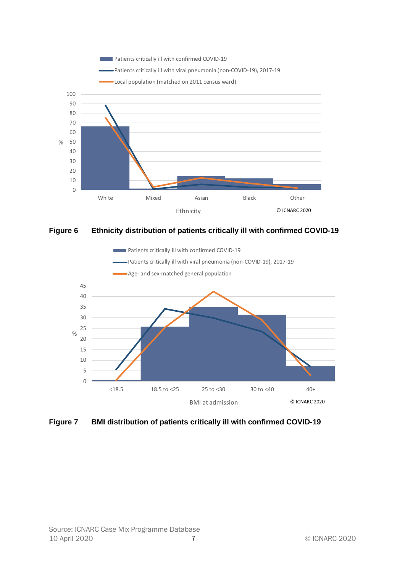

<span id="page-6-0"></span>



<span id="page-6-1"></span>**Figure 7 BMI distribution of patients critically ill with confirmed COVID-19**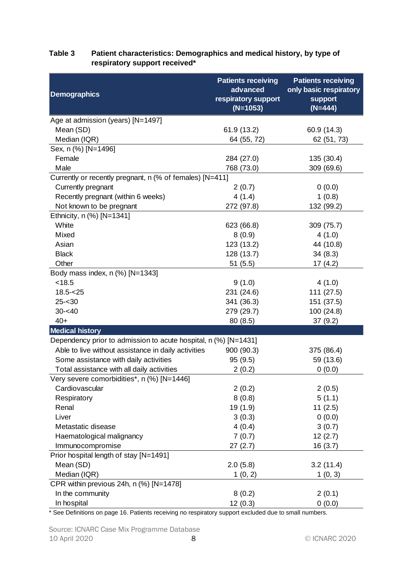### <span id="page-7-0"></span>**Table 3 Patient characteristics: Demographics and medical history, by type of respiratory support received\***

|                                                                 | <b>Patients receiving</b> | <b>Patients receiving</b> |
|-----------------------------------------------------------------|---------------------------|---------------------------|
| <b>Demographics</b>                                             | advanced                  | only basic respiratory    |
|                                                                 | respiratory support       | <b>support</b>            |
|                                                                 | $(N=1053)$                | $(N=444)$                 |
| Age at admission (years) [N=1497]                               |                           |                           |
| Mean (SD)                                                       | 61.9 (13.2)               | 60.9 (14.3)               |
| Median (IQR)                                                    | 64 (55, 72)               | 62 (51, 73)               |
| Sex, n (%) [N=1496]                                             |                           |                           |
| Female                                                          | 284 (27.0)                | 135 (30.4)                |
| Male                                                            | 768 (73.0)                | 309 (69.6)                |
| Currently or recently pregnant, n (% of females) [N=411]        |                           |                           |
| Currently pregnant                                              | 2(0.7)                    | 0(0.0)                    |
| Recently pregnant (within 6 weeks)                              | 4(1.4)                    | 1(0.8)                    |
| Not known to be pregnant                                        | 272 (97.8)                | 132 (99.2)                |
| Ethnicity, n (%) [N=1341]                                       |                           |                           |
| White                                                           | 623 (66.8)                | 309 (75.7)                |
| Mixed                                                           | 8(0.9)                    | 4(1.0)                    |
| Asian                                                           | 123 (13.2)                | 44 (10.8)                 |
| <b>Black</b>                                                    | 128 (13.7)                | 34(8.3)                   |
| Other                                                           | 51(5.5)                   | 17(4.2)                   |
| Body mass index, n (%) [N=1343]                                 |                           |                           |
| < 18.5                                                          | 9(1.0)                    | 4(1.0)                    |
| $18.5 - 25$                                                     | 231 (24.6)                | 111 (27.5)                |
| $25 - 30$                                                       | 341 (36.3)                | 151 (37.5)                |
| $30 - 40$                                                       | 279 (29.7)                | 100 (24.8)                |
| $40+$                                                           | 80(8.5)                   | 37(9.2)                   |
| <b>Medical history</b>                                          |                           |                           |
| Dependency prior to admission to acute hospital, n (%) [N=1431] |                           |                           |
| Able to live without assistance in daily activities             | 900 (90.3)                | 375 (86.4)                |
| Some assistance with daily activities                           | 95 (9.5)                  | 59 (13.6)                 |
| Total assistance with all daily activities                      | 2(0.2)                    | 0(0.0)                    |
| Very severe comorbidities*, n (%) [N=1446]                      |                           |                           |
| Cardiovascular                                                  | 2(0.2)                    | 2(0.5)                    |
| Respiratory                                                     | 8(0.8)                    | 5(1.1)                    |
| Renal                                                           | 19 (1.9)                  | 11(2.5)                   |
| Liver                                                           | 3(0.3)                    | 0(0.0)                    |
| Metastatic disease                                              | 4(0.4)                    | 3(0.7)                    |
| Haematological malignancy                                       | 7(0.7)                    | 12(2.7)                   |
| Immunocompromise                                                | 27(2.7)                   | 16(3.7)                   |
| Prior hospital length of stay [N=1491]                          |                           |                           |
| Mean (SD)                                                       | 2.0(5.8)                  | 3.2(11.4)                 |
| Median (IQR)                                                    | 1(0, 2)                   | 1(0, 3)                   |
| CPR within previous 24h, n (%) [N=1478]                         |                           |                           |
| In the community                                                | 8(0.2)                    | 2(0.1)                    |
| In hospital                                                     | 12(0.3)                   | 0(0.0)                    |

\* See Definitions on page [16.](#page-14-0) Patients receiving no respiratory support excluded due to small numbers.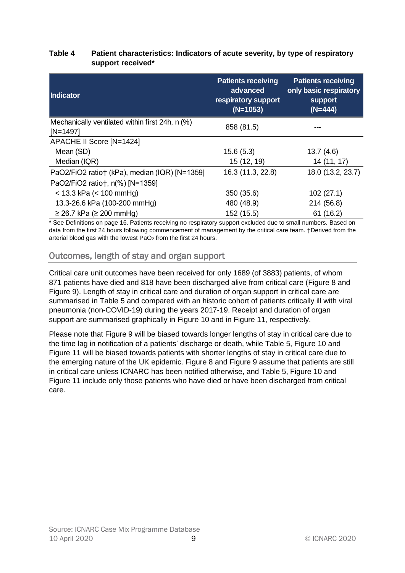#### **Table 4 Patient characteristics: Indicators of acute severity, by type of respiratory support received\***

| Indicator                                                     | <b>Patients receiving</b><br>advanced<br>respiratory support<br>$(N=1053)$ | <b>Patients receiving</b><br>only basic respiratory<br><b>support</b><br>$(N=444)$ |
|---------------------------------------------------------------|----------------------------------------------------------------------------|------------------------------------------------------------------------------------|
| Mechanically ventilated within first 24h, n (%)<br>$[N=1497]$ | 858 (81.5)                                                                 |                                                                                    |
| APACHE II Score [N=1424]                                      |                                                                            |                                                                                    |
| Mean (SD)                                                     | 15.6(5.3)                                                                  | 13.7(4.6)                                                                          |
| Median (IQR)                                                  | 15 (12, 19)                                                                | 14 (11, 17)                                                                        |
| PaO2/FiO2 ratio† (kPa), median (IQR) [N=1359]                 | 16.3 (11.3, 22.8)                                                          | 18.0 (13.2, 23.7)                                                                  |
| PaO2/FiO2 ratio†, n(%) [N=1359]                               |                                                                            |                                                                                    |
| $<$ 13.3 kPa ( $<$ 100 mmHg)                                  | 350 (35.6)                                                                 | 102(27.1)                                                                          |
| 13.3-26.6 kPa (100-200 mmHg)                                  | 480 (48.9)                                                                 | 214 (56.8)                                                                         |
| $≥ 26.7$ kPa ( $≥ 200$ mmHg)                                  | 152 (15.5)                                                                 | 61(16.2)                                                                           |

\* See Definitions on page [16.](#page-14-0) Patients receiving no respiratory support excluded due to small numbers. Based on data from the first 24 hours following commencement of management by the critical care team. †Derived from the arterial blood gas with the lowest  $PaO<sub>2</sub>$  from the first 24 hours.

# <span id="page-8-0"></span>Outcomes, length of stay and organ support

Critical care unit outcomes have been received for only 1689 (of 3883) patients, of whom 871 patients have died and 818 have been discharged alive from critical care [\(Figure 8](#page-9-0) and [Figure 9\)](#page-9-1). Length of stay in critical care and duration of organ support in critical care are summarised in [Table 5](#page-10-0) and compared with an historic cohort of patients critically ill with viral pneumonia (non-COVID-19) during the years 2017-19. Receipt and duration of organ support are summarised graphically in [Figure 10](#page-11-0) and in [Figure 11,](#page-11-1) respectively.

Please note that [Figure 9](#page-9-1) will be biased towards longer lengths of stay in critical care due to the time lag in notification of a patients' discharge or death, while [Table 5,](#page-10-0) [Figure 10](#page-11-0) and [Figure 11](#page-11-1) will be biased towards patients with shorter lengths of stay in critical care due to the emerging nature of the UK epidemic. [Figure 8](#page-9-0) and [Figure 9](#page-9-1) assume that patients are still in critical care unless ICNARC has been notified otherwise, and [Table 5,](#page-10-0) [Figure 10](#page-11-0) and [Figure 11](#page-11-1) include only those patients who have died or have been discharged from critical care.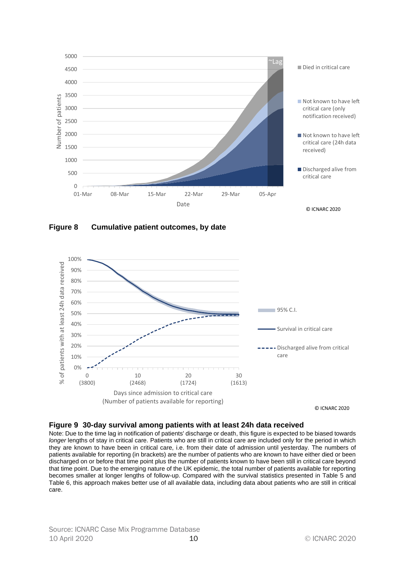

<span id="page-9-0"></span>**Figure 8 Cumulative patient outcomes, by date**



#### <span id="page-9-1"></span>**Figure 9 30-day survival among patients with at least 24h data received**

Note: Due to the time lag in notification of patients' discharge or death, this figure is expected to be biased towards *longer* lengths of stay in critical care. Patients who are still in critical care are included only for the period in which they are known to have been in critical care, i.e. from their date of admission until yesterday. The numbers of patients available for reporting (in brackets) are the number of patients who are known to have either died or been discharged on or before that time point plus the number of patients known to have been still in critical care beyond that time point. Due to the emerging nature of the UK epidemic, the total number of patients available for reporting becomes smaller at longer lengths of follow-up. Compared with the survival statistics presented in [Table 5](#page-10-0) and [Table 6,](#page-13-0) this approach makes better use of all available data, including data about patients who are still in critical care.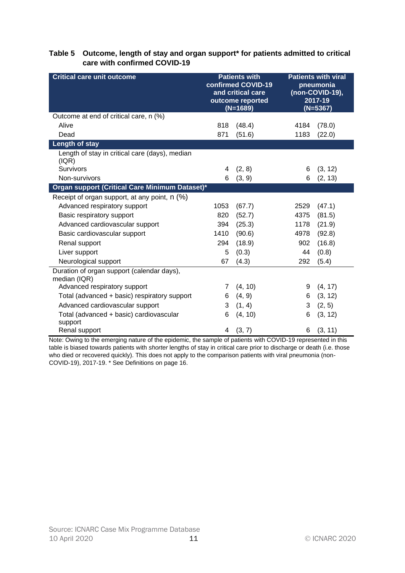#### <span id="page-10-0"></span>**Table 5 Outcome, length of stay and organ support\* for patients admitted to critical care with confirmed COVID-19**

| <b>Critical care unit outcome</b>                          | <b>Patients with</b><br>confirmed COVID-19<br>and critical care<br>outcome reported<br>$(N=1689)$ |         | <b>Patients with viral</b><br>pneumonia<br>(non-COVID-19),<br>2017-19<br>$(N=5367)$ |         |
|------------------------------------------------------------|---------------------------------------------------------------------------------------------------|---------|-------------------------------------------------------------------------------------|---------|
| Outcome at end of critical care, n (%)                     |                                                                                                   |         |                                                                                     |         |
| Alive                                                      | 818                                                                                               | (48.4)  | 4184                                                                                | (78.0)  |
| Dead                                                       | 871                                                                                               | (51.6)  | 1183                                                                                | (22.0)  |
| Length of stay                                             |                                                                                                   |         |                                                                                     |         |
| Length of stay in critical care (days), median<br>(IQR)    |                                                                                                   |         |                                                                                     |         |
| <b>Survivors</b>                                           | 4                                                                                                 | (2, 8)  | 6                                                                                   | (3, 12) |
| Non-survivors                                              | 6                                                                                                 | (3, 9)  | 6                                                                                   | (2, 13) |
| Organ support (Critical Care Minimum Dataset)*             |                                                                                                   |         |                                                                                     |         |
| Receipt of organ support, at any point, n (%)              |                                                                                                   |         |                                                                                     |         |
| Advanced respiratory support                               | 1053                                                                                              | (67.7)  | 2529                                                                                | (47.1)  |
| Basic respiratory support                                  | 820                                                                                               | (52.7)  | 4375                                                                                | (81.5)  |
| Advanced cardiovascular support                            | 394                                                                                               | (25.3)  | 1178                                                                                | (21.9)  |
| Basic cardiovascular support                               | 1410                                                                                              | (90.6)  | 4978                                                                                | (92.8)  |
| Renal support                                              | 294                                                                                               | (18.9)  | 902                                                                                 | (16.8)  |
| Liver support                                              | 5                                                                                                 | (0.3)   | 44                                                                                  | (0.8)   |
| Neurological support                                       | 67                                                                                                | (4.3)   | 292                                                                                 | (5.4)   |
| Duration of organ support (calendar days),<br>median (IQR) |                                                                                                   |         |                                                                                     |         |
| Advanced respiratory support                               | 7                                                                                                 | (4, 10) | 9                                                                                   | (4, 17) |
| Total (advanced + basic) respiratory support               | 6                                                                                                 | (4, 9)  | 6                                                                                   | (3, 12) |
| Advanced cardiovascular support                            | 3                                                                                                 | (1, 4)  | 3                                                                                   | (2, 5)  |
| Total (advanced + basic) cardiovascular<br>support         | 6                                                                                                 | (4, 10) | 6                                                                                   | (3, 12) |
| Renal support                                              | 4                                                                                                 | (3, 7)  | 6                                                                                   | (3, 11) |

Note: Owing to the emerging nature of the epidemic, the sample of patients with COVID-19 represented in this table is biased towards patients with *shorter* lengths of stay in critical care prior to discharge or death (i.e. those who died or recovered quickly). This does not apply to the comparison patients with viral pneumonia (non-COVID-19), 2017-19. \* See Definitions on pag[e 16.](#page-14-0)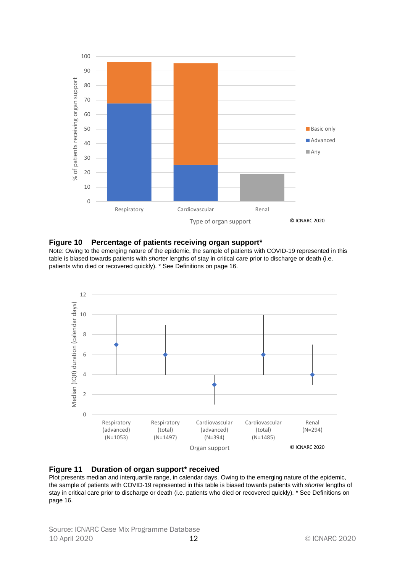

#### <span id="page-11-0"></span>**Figure 10 Percentage of patients receiving organ support\***

Note: Owing to the emerging nature of the epidemic, the sample of patients with COVID-19 represented in this table is biased towards patients with *shorter* lengths of stay in critical care prior to discharge or death (i.e. patients who died or recovered quickly). \* See Definitions on page [16.](#page-14-0)



<span id="page-11-1"></span>

Plot presents median and interquartile range, in calendar days. Owing to the emerging nature of the epidemic, the sample of patients with COVID-19 represented in this table is biased towards patients with *shorter* lengths of stay in critical care prior to discharge or death (i.e. patients who died or recovered quickly). \* See Definitions on pag[e 16.](#page-14-0)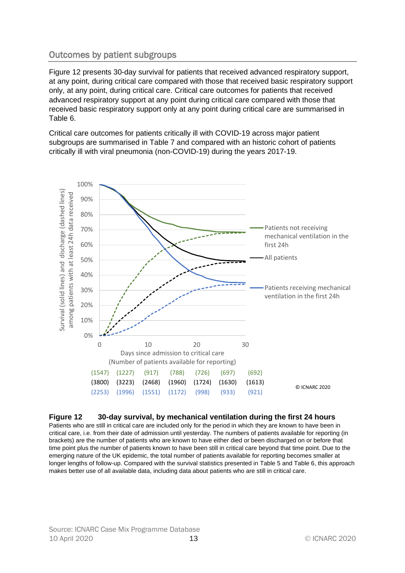# <span id="page-12-0"></span>Outcomes by patient subgroups

[Figure 12](#page-12-1) presents 30-day survival for patients that received advanced respiratory support, at any point, during critical care compared with those that received basic respiratory support only, at any point, during critical care. Critical care outcomes for patients that received advanced respiratory support at any point during critical care compared with those that received basic respiratory support only at any point during critical care are summarised in [Table 6.](#page-13-0)

Critical care outcomes for patients critically ill with COVID-19 across major patient subgroups are summarised in [Table 7](#page-14-1) and compared with an historic cohort of patients critically ill with viral pneumonia (non-COVID-19) during the years 2017-19.



#### <span id="page-12-1"></span>**Figure 12 30-day survival, by mechanical ventilation during the first 24 hours**

Patients who are still in critical care are included only for the period in which they are known to have been in critical care, i.e. from their date of admission until yesterday. The numbers of patients available for reporting (in brackets) are the number of patients who are known to have either died or been discharged on or before that time point plus the number of patients known to have been still in critical care beyond that time point. Due to the emerging nature of the UK epidemic, the total number of patients available for reporting becomes smaller at longer lengths of follow-up. Compared with the survival statistics presented in [Table 5](#page-10-0) and [Table 6,](#page-13-0) this approach makes better use of all available data, including data about patients who are still in critical care.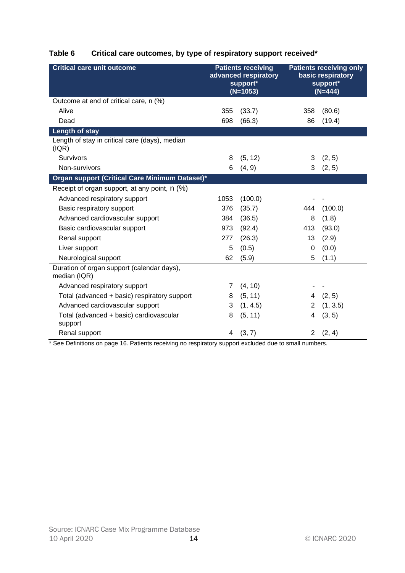<span id="page-13-0"></span>

| Table 6 | Critical care outcomes, by type of respiratory support received* |  |  |
|---------|------------------------------------------------------------------|--|--|
|         |                                                                  |  |  |

| <b>Critical care unit outcome</b>                          | <b>Patients receiving</b><br>advanced respiratory<br>support*<br>$(N=1053)$ |          | <b>Patients receiving only</b><br>basic respiratory<br>support*<br>$(N=444)$ |          |
|------------------------------------------------------------|-----------------------------------------------------------------------------|----------|------------------------------------------------------------------------------|----------|
| Outcome at end of critical care, n (%)                     |                                                                             |          |                                                                              |          |
| Alive                                                      | 355                                                                         | (33.7)   | 358                                                                          | (80.6)   |
| Dead                                                       | 698                                                                         | (66.3)   | 86                                                                           | (19.4)   |
| <b>Length of stay</b>                                      |                                                                             |          |                                                                              |          |
| Length of stay in critical care (days), median<br>( IQR)   |                                                                             |          |                                                                              |          |
| Survivors                                                  | 8                                                                           | (5, 12)  | 3                                                                            | (2, 5)   |
| Non-survivors                                              | 6                                                                           | (4, 9)   | 3                                                                            | (2, 5)   |
| Organ support (Critical Care Minimum Dataset)*             |                                                                             |          |                                                                              |          |
| Receipt of organ support, at any point, n (%)              |                                                                             |          |                                                                              |          |
| Advanced respiratory support                               | 1053                                                                        | (100.0)  |                                                                              |          |
| Basic respiratory support                                  | 376                                                                         | (35.7)   | 444                                                                          | (100.0)  |
| Advanced cardiovascular support                            | 384                                                                         | (36.5)   | 8                                                                            | (1.8)    |
| Basic cardiovascular support                               | 973                                                                         | (92.4)   | 413                                                                          | (93.0)   |
| Renal support                                              | 277                                                                         | (26.3)   | 13                                                                           | (2.9)    |
| Liver support                                              | 5                                                                           | (0.5)    | $\mathbf 0$                                                                  | (0.0)    |
| Neurological support                                       | 62                                                                          | (5.9)    | 5                                                                            | (1.1)    |
| Duration of organ support (calendar days),<br>median (IQR) |                                                                             |          |                                                                              |          |
| Advanced respiratory support                               | 7                                                                           | (4, 10)  |                                                                              |          |
| Total (advanced + basic) respiratory support               | 8                                                                           | (5, 11)  | 4                                                                            | (2, 5)   |
| Advanced cardiovascular support                            | 3                                                                           | (1, 4.5) | 2                                                                            | (1, 3.5) |
| Total (advanced + basic) cardiovascular<br>support         | 8                                                                           | (5, 11)  | 4                                                                            | (3, 5)   |
| Renal support                                              | 4                                                                           | (3, 7)   | $\overline{2}$                                                               | (2, 4)   |

\* See Definitions on page [16.](#page-14-0) Patients receiving no respiratory support excluded due to small numbers.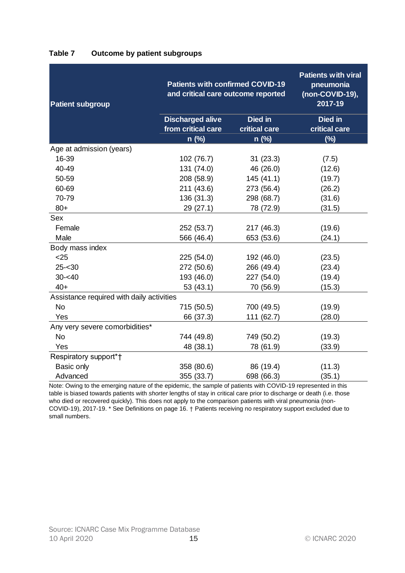| <b>Patient subgroup</b>                   | <b>Patients with confirmed COVID-19</b><br>and critical care outcome reported | <b>Patients with viral</b><br>pneumonia<br>(non-COVID-19),<br>2017-19 |                          |
|-------------------------------------------|-------------------------------------------------------------------------------|-----------------------------------------------------------------------|--------------------------|
|                                           | <b>Discharged alive</b><br>from critical care                                 | <b>Died in</b><br>critical care                                       | Died in<br>critical care |
|                                           | $n$ (%)                                                                       | $n$ (%)                                                               | $(\%)$                   |
| Age at admission (years)                  |                                                                               |                                                                       |                          |
| 16-39                                     | 102 (76.7)                                                                    | 31(23.3)                                                              | (7.5)                    |
| 40-49                                     | 131 (74.0)                                                                    | 46 (26.0)                                                             | (12.6)                   |
| 50-59                                     | 208 (58.9)                                                                    | 145(41.1)                                                             | (19.7)                   |
| 60-69                                     | 211 (43.6)                                                                    | 273 (56.4)                                                            | (26.2)                   |
| 70-79                                     | 136 (31.3)                                                                    | 298 (68.7)                                                            | (31.6)                   |
| $80+$                                     | 29 (27.1)                                                                     | 78 (72.9)                                                             | (31.5)                   |
| Sex                                       |                                                                               |                                                                       |                          |
| Female                                    | 252 (53.7)                                                                    | 217 (46.3)                                                            | (19.6)                   |
| Male                                      | 566 (46.4)                                                                    | 653 (53.6)                                                            | (24.1)                   |
| Body mass index                           |                                                                               |                                                                       |                          |
| $25$                                      | 225 (54.0)                                                                    | 192 (46.0)                                                            | (23.5)                   |
| $25 - 30$                                 | 272 (50.6)                                                                    | 266 (49.4)                                                            | (23.4)                   |
| $30 - 40$                                 | 193 (46.0)                                                                    | 227 (54.0)                                                            | (19.4)                   |
| $40+$                                     | 53 (43.1)                                                                     | 70 (56.9)                                                             | (15.3)                   |
| Assistance required with daily activities |                                                                               |                                                                       |                          |
| <b>No</b>                                 | 715 (50.5)                                                                    | 700 (49.5)                                                            | (19.9)                   |
| Yes                                       | 66 (37.3)                                                                     | 111 (62.7)                                                            | (28.0)                   |
| Any very severe comorbidities*            |                                                                               |                                                                       |                          |
| <b>No</b>                                 | 744 (49.8)                                                                    | 749 (50.2)                                                            | (19.3)                   |
| Yes                                       | 48 (38.1)                                                                     | 78 (61.9)                                                             | (33.9)                   |
| Respiratory support*†                     |                                                                               |                                                                       |                          |
| Basic only                                | 358 (80.6)                                                                    | 86 (19.4)                                                             | (11.3)                   |
| Advanced                                  | 355 (33.7)                                                                    | 698 (66.3)                                                            | (35.1)                   |

#### <span id="page-14-1"></span>**Table 7 Outcome by patient subgroups**

<span id="page-14-0"></span>Note: Owing to the emerging nature of the epidemic, the sample of patients with COVID-19 represented in this table is biased towards patients with *shorter* lengths of stay in critical care prior to discharge or death (i.e. those who died or recovered quickly). This does not apply to the comparison patients with viral pneumonia (non-COVID-19), 2017-19. \* See Definitions on pag[e 16.](#page-14-0) † Patients receiving no respiratory support excluded due to small numbers.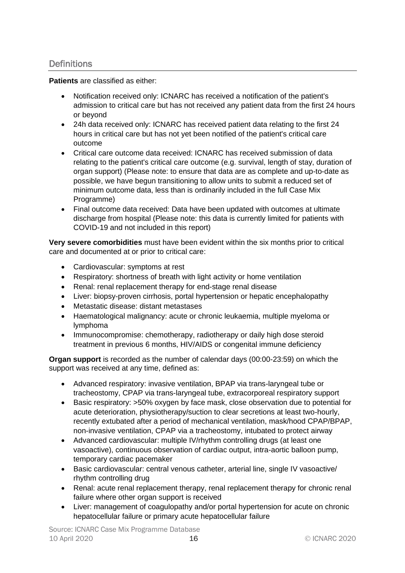## <span id="page-15-0"></span>**Definitions**

**Patients** are classified as either:

- Notification received only: ICNARC has received a notification of the patient's admission to critical care but has not received any patient data from the first 24 hours or beyond
- 24h data received only: ICNARC has received patient data relating to the first 24 hours in critical care but has not yet been notified of the patient's critical care outcome
- Critical care outcome data received: ICNARC has received submission of data relating to the patient's critical care outcome (e.g. survival, length of stay, duration of organ support) (Please note: to ensure that data are as complete and up-to-date as possible, we have begun transitioning to allow units to submit a reduced set of minimum outcome data, less than is ordinarily included in the full Case Mix Programme)
- Final outcome data received: Data have been updated with outcomes at ultimate discharge from hospital (Please note: this data is currently limited for patients with COVID-19 and not included in this report)

**Very severe comorbidities** must have been evident within the six months prior to critical care and documented at or prior to critical care:

- Cardiovascular: symptoms at rest
- Respiratory: shortness of breath with light activity or home ventilation
- Renal: renal replacement therapy for end-stage renal disease
- Liver: biopsy-proven cirrhosis, portal hypertension or hepatic encephalopathy
- Metastatic disease: distant metastases
- Haematological malignancy: acute or chronic leukaemia, multiple myeloma or lymphoma
- Immunocompromise: chemotherapy, radiotherapy or daily high dose steroid treatment in previous 6 months, HIV/AIDS or congenital immune deficiency

**Organ support** is recorded as the number of calendar days (00:00-23:59) on which the support was received at any time, defined as:

- Advanced respiratory: invasive ventilation, BPAP via trans-laryngeal tube or tracheostomy, CPAP via trans-laryngeal tube, extracorporeal respiratory support
- Basic respiratory: >50% oxygen by face mask, close observation due to potential for acute deterioration, physiotherapy/suction to clear secretions at least two-hourly, recently extubated after a period of mechanical ventilation, mask/hood CPAP/BPAP, non-invasive ventilation, CPAP via a tracheostomy, intubated to protect airway
- Advanced cardiovascular: multiple IV/rhythm controlling drugs (at least one vasoactive), continuous observation of cardiac output, intra-aortic balloon pump, temporary cardiac pacemaker
- Basic cardiovascular: central venous catheter, arterial line, single IV vasoactive/ rhythm controlling drug
- Renal: acute renal replacement therapy, renal replacement therapy for chronic renal failure where other organ support is received
- Liver: management of coagulopathy and/or portal hypertension for acute on chronic hepatocellular failure or primary acute hepatocellular failure